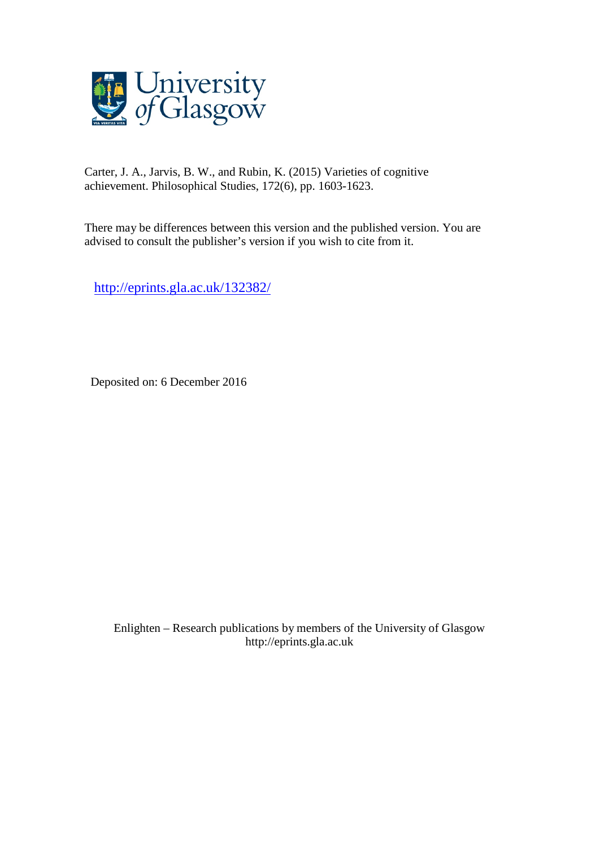

Carter, J. A., Jarvis, B. W., and Rubin, K. (2015) Varieties of cognitive achievement. Philosophical Studies, 172(6), pp. 1603-1623.

There may be differences between this version and the published version. You are advised to consult the publisher's version if you wish to cite from it.

<http://eprints.gla.ac.uk/132382/>

Deposited on: 6 December 2016

Enlighten – Research publications by members of the University of Glasgo[w](http://eprints.gla.ac.uk/) [http://eprints.gla.ac.uk](http://eprints.gla.ac.uk/)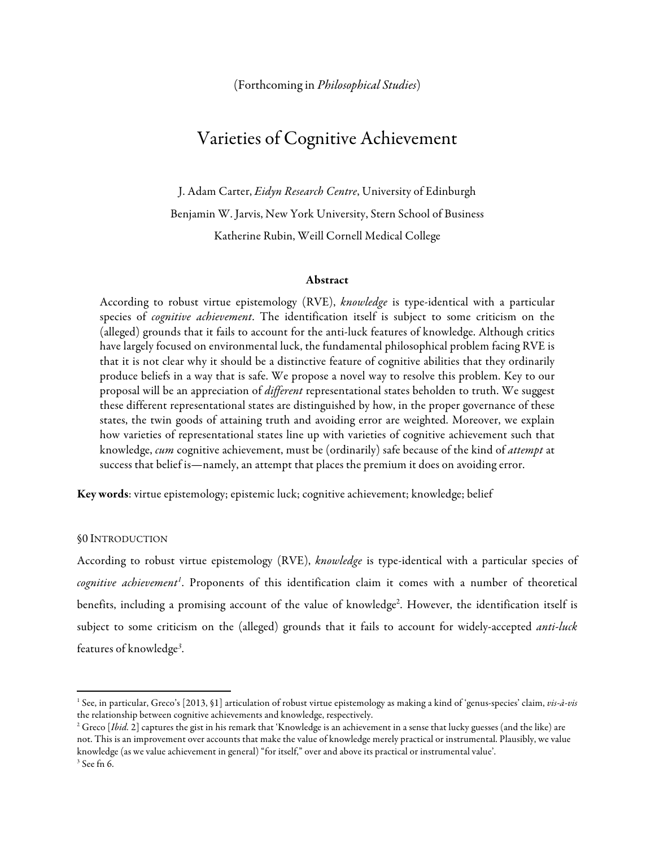# Varieties of Cognitive Achievement

J. Adam Carter, *Eidyn Research Centre*, University of Edinburgh Benjamin W. Jarvis, New York University, Stern School of Business Katherine Rubin, Weill Cornell Medical College

#### Abstract

According to robust virtue epistemology (RVE), *knowledge* is type-identical with a particular species of *cognitive achievement*. The identification itself is subject to some criticism on the (alleged) grounds that it fails to account for the anti-luck features of knowledge. Although critics have largely focused on environmental luck, the fundamental philosophical problem facing RVE is that it is not clear why it should be a distinctive feature of cognitive abilities that they ordinarily produce beliefs in a way that is safe. We propose a novel way to resolve this problem. Key to our proposal will be an appreciation of *different* representational states beholden to truth. We suggest these different representational states are distinguished by how, in the proper governance of these states, the twin goods of attaining truth and avoiding error are weighted. Moreover, we explain how varieties of representational states line up with varieties of cognitive achievement such that knowledge, *cum* cognitive achievement, must be (ordinarily) safe because of the kind of *attempt* at success that belief is—namely, an attempt that places the premium it does on avoiding error.

Key words: virtue epistemology; epistemic luck; cognitive achievement; knowledge; belief

#### §0 INTRODUCTION

<u> 1989 - Jan Stein Stein, fransk politiker (d. 1989)</u>

According to robust virtue epistemology (RVE), *knowledge* is type-identical with a particular species of cognitive achievement<sup>1</sup>. Proponents of this identification claim it comes with a number of theoretical benefits, including a promising account of the value of knowledge<sup>2</sup>. However, the identification itself is subject to some criticism on the (alleged) grounds that it fails to account for widely-accepted *anti-luck* features of knowledge*<sup>3</sup>* .

<sup>1</sup> See, in particular, Greco's [2013, §1] articulation of robust virtue epistemology as making a kind of 'genus-species' claim, *vis-à-vis* the relationship between cognitive achievements and knowledge, respectively.

<sup>&</sup>lt;sup>2</sup> Greco [*Ibid.* 2] captures the gist in his remark that 'Knowledge is an achievement in a sense that lucky guesses (and the like) are not. This is an improvement over accounts that make the value of knowledge merely practical or instrumental. Plausibly, we value knowledge (as we value achievement in general) "for itself," over and above its practical or instrumental value'.  $^3$  See fn 6.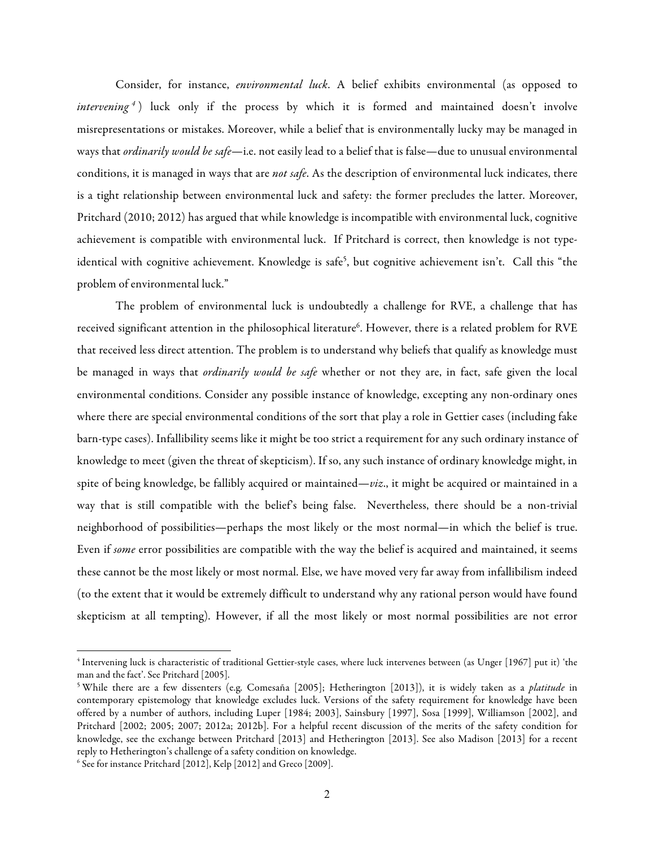Consider, for instance, *environmental luck*. A belief exhibits environmental (as opposed to *intervening*<sup>4</sup>) luck only if the process by which it is formed and maintained doesn't involve misrepresentations or mistakes. Moreover, while a belief that is environmentally lucky may be managed in ways that *ordinarily would be safe*—i.e. not easily lead to a belief that is false—due to unusual environmental conditions, it is managed in ways that are *not safe*. As the description of environmental luck indicates, there is a tight relationship between environmental luck and safety: the former precludes the latter. Moreover, Pritchard (2010; 2012) has argued that while knowledge is incompatible with environmental luck, cognitive achievement is compatible with environmental luck. If Pritchard is correct, then knowledge is not typeidentical with cognitive achievement. Knowledge is safe<sup>5</sup>, but cognitive achievement isn't. Call this "the problem of environmental luck."

The problem of environmental luck is undoubtedly a challenge for RVE, a challenge that has received significant attention in the philosophical literature $^6$ . However, there is a related problem for RVE that received less direct attention. The problem is to understand why beliefs that qualify as knowledge must be managed in ways that *ordinarily would be safe* whether or not they are, in fact, safe given the local environmental conditions. Consider any possible instance of knowledge, excepting any non-ordinary ones where there are special environmental conditions of the sort that play a role in Gettier cases (including fake barn-type cases). Infallibility seems like it might be too strict a requirement for any such ordinary instance of knowledge to meet (given the threat of skepticism). If so, any such instance of ordinary knowledge might, in spite of being knowledge, be fallibly acquired or maintained—*viz*., it might be acquired or maintained in a way that is still compatible with the belief's being false. Nevertheless, there should be a non-trivial neighborhood of possibilities—perhaps the most likely or the most normal—in which the belief is true. Even if *some* error possibilities are compatible with the way the belief is acquired and maintained, it seems these cannot be the most likely or most normal. Else, we have moved very far away from infallibilism indeed (to the extent that it would be extremely difficult to understand why any rational person would have found skepticism at all tempting). However, if all the most likely or most normal possibilities are not error

<sup>4</sup> Intervening luck is characteristic of traditional Gettier-style cases, where luck intervenes between (as Unger [1967] put it) 'the man and the fact'. See Pritchard [2005].

<sup>5</sup> While there are a few dissenters (e.g. Comesaña [2005]; Hetherington [2013]), it is widely taken as a *platitude* in contemporary epistemology that knowledge excludes luck. Versions of the safety requirement for knowledge have been offered by a number of authors, including Luper [1984; 2003], Sainsbury [1997], Sosa [1999], Williamson [2002], and Pritchard [2002; 2005; 2007; 2012a; 2012b]. For a helpful recent discussion of the merits of the safety condition for knowledge, see the exchange between Pritchard [2013] and Hetherington [2013]. See also Madison [2013] for a recent reply to Hetherington's challenge of a safety condition on knowledge.

<sup>6</sup> See for instance Pritchard [2012], Kelp [2012] and Greco [2009].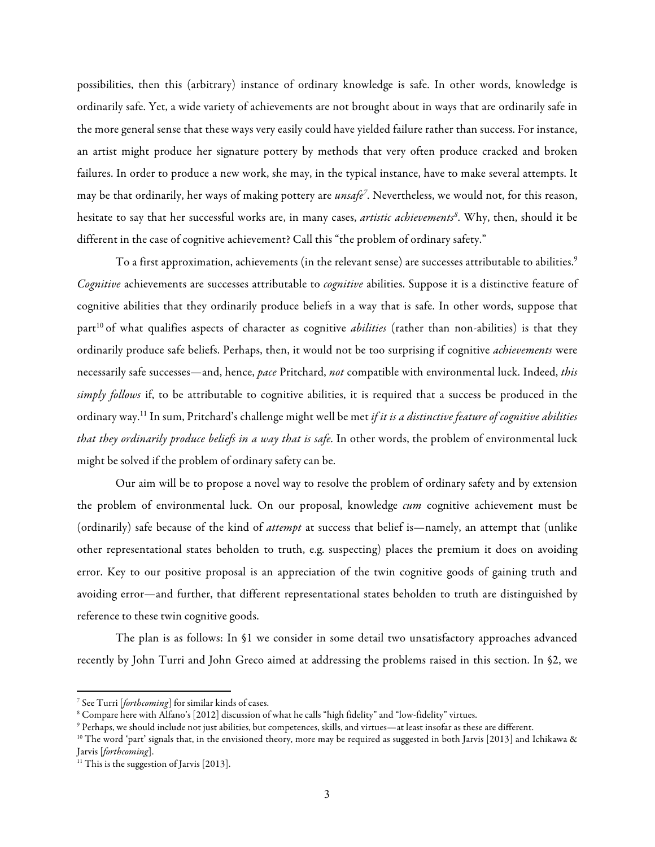possibilities, then this (arbitrary) instance of ordinary knowledge is safe. In other words, knowledge is ordinarily safe. Yet, a wide variety of achievements are not brought about in ways that are ordinarily safe in the more general sense that these ways very easily could have yielded failure rather than success. For instance, an artist might produce her signature pottery by methods that very often produce cracked and broken failures. In order to produce a new work, she may, in the typical instance, have to make several attempts. It may be that ordinarily, her ways of making pottery are *unsafe7* . Nevertheless, we would not, for this reason, hesitate to say that her successful works are, in many cases, *artistic achievements<sup>8</sup>*. Why, then, should it be different in the case of cognitive achievement? Call this "the problem of ordinary safety."

To a first approximation, achievements (in the relevant sense) are successes attributable to abilities.<sup>9</sup> *Cognitive* achievements are successes attributable to *cognitive* abilities. Suppose it is a distinctive feature of cognitive abilities that they ordinarily produce beliefs in a way that is safe. In other words, suppose that part<sup>10</sup> of what qualifies aspects of character as cognitive *abilities* (rather than non-abilities) is that they ordinarily produce safe beliefs. Perhaps, then, it would not be too surprising if cognitive *achievements* were necessarily safe successes—and, hence, *pace* Pritchard, *not* compatible with environmental luck. Indeed, *this simply follows* if, to be attributable to cognitive abilities, it is required that a success be produced in the ordinary way.11 In sum, Pritchard's challenge might well be met *if it is a distinctive feature of cognitive abilities that they ordinarily produce beliefs in a way that is safe*. In other words, the problem of environmental luck might be solved if the problem of ordinary safety can be.

Our aim will be to propose a novel way to resolve the problem of ordinary safety and by extension the problem of environmental luck. On our proposal, knowledge *cum* cognitive achievement must be (ordinarily) safe because of the kind of *attempt* at success that belief is—namely, an attempt that (unlike other representational states beholden to truth, e.g. suspecting) places the premium it does on avoiding error. Key to our positive proposal is an appreciation of the twin cognitive goods of gaining truth and avoiding error—and further, that different representational states beholden to truth are distinguished by reference to these twin cognitive goods.

The plan is as follows: In §1 we consider in some detail two unsatisfactory approaches advanced recently by John Turri and John Greco aimed at addressing the problems raised in this section. In §2, we

<sup>7</sup> See Turri [*forthcoming*] for similar kinds of cases.

<sup>8</sup> Compare here with Alfano's [2012] discussion of what he calls "high fidelity" and "low-fidelity" virtues.

<sup>9</sup> Perhaps, we should include not just abilities, but competences, skills, and virtues—at least insofar as these are different.

<sup>&</sup>lt;sup>10</sup> The word 'part' signals that, in the envisioned theory, more may be required as suggested in both Jarvis [2013] and Ichikawa & Jarvis [*forthcoming*].

<sup>&</sup>lt;sup>11</sup> This is the suggestion of Jarvis [2013].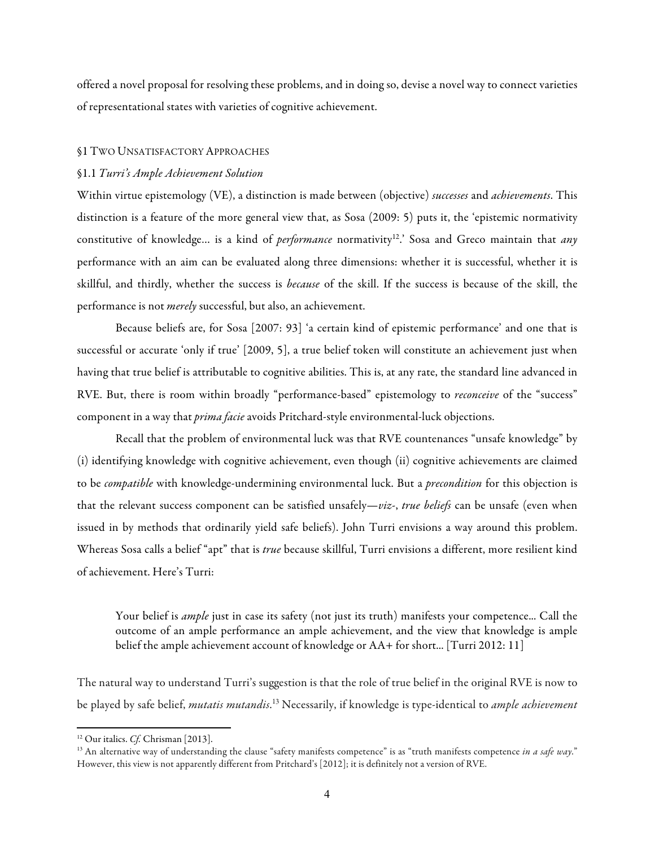offered a novel proposal for resolving these problems, and in doing so, devise a novel way to connect varieties of representational states with varieties of cognitive achievement.

#### §1 TWO UNSATISFACTORY APPROACHES

## §1.1 *Turri's Ample Achievement Solution*

Within virtue epistemology (VE), a distinction is made between (objective) *successes* and *achievements*. This distinction is a feature of the more general view that, as Sosa (2009: 5) puts it, the 'epistemic normativity constitutive of knowledge... is a kind of *performance* normativity<sup>12</sup>.' Sosa and Greco maintain that *any* performance with an aim can be evaluated along three dimensions: whether it is successful, whether it is skillful, and thirdly, whether the success is *because* of the skill. If the success is because of the skill, the performance is not *merely* successful, but also, an achievement.

Because beliefs are, for Sosa [2007: 93] 'a certain kind of epistemic performance' and one that is successful or accurate 'only if true' [2009, 5], a true belief token will constitute an achievement just when having that true belief is attributable to cognitive abilities. This is, at any rate, the standard line advanced in RVE. But, there is room within broadly "performance-based" epistemology to *reconceive* of the "success" component in a way that *prima facie* avoids Pritchard-style environmental-luck objections.

Recall that the problem of environmental luck was that RVE countenances "unsafe knowledge" by (i) identifying knowledge with cognitive achievement, even though (ii) cognitive achievements are claimed to be *compatible* with knowledge-undermining environmental luck. But a *precondition* for this objection is that the relevant success component can be satisfied unsafely—*viz*-, *true beliefs* can be unsafe (even when issued in by methods that ordinarily yield safe beliefs). John Turri envisions a way around this problem. Whereas Sosa calls a belief "apt" that is *true* because skillful, Turri envisions a different, more resilient kind of achievement. Here's Turri:

Your belief is *ample* just in case its safety (not just its truth) manifests your competence... Call the outcome of an ample performance an ample achievement, and the view that knowledge is ample belief the ample achievement account of knowledge or AA+ for short... [Turri 2012: 11]

The natural way to understand Turri's suggestion is that the role of true belief in the original RVE is now to be played by safe belief, *mutatis mutandis*. <sup>13</sup> Necessarily, if knowledge is type-identical to *ample achievement*

<sup>&</sup>lt;sup>12</sup> Our italics. *Cf.* Chrisman [2013].

<sup>&</sup>lt;sup>13</sup> An alternative way of understanding the clause "safety manifests competence" is as "truth manifests competence *in a safe way*." However, this view is not apparently different from Pritchard's [2012]; it is definitely not a version of RVE.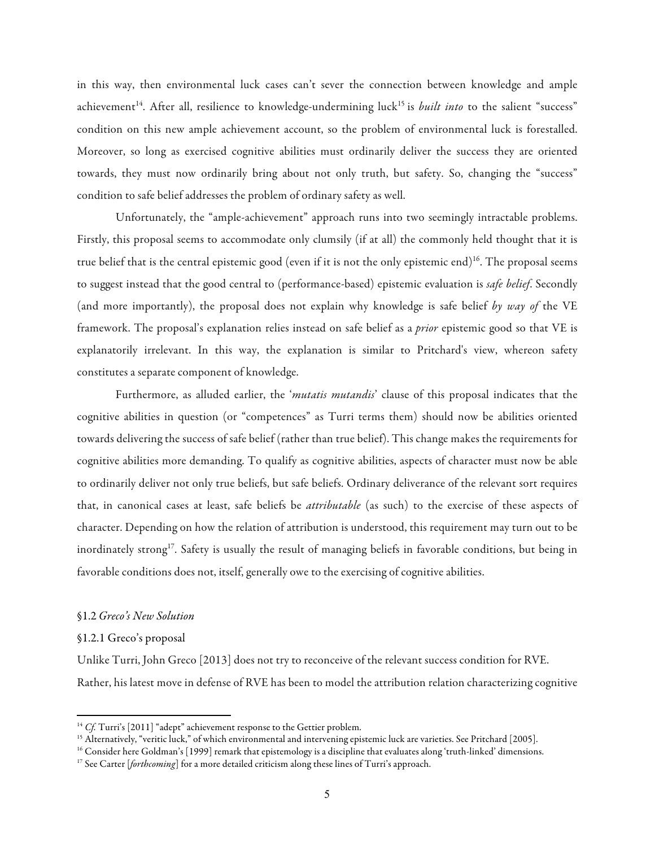in this way, then environmental luck cases can't sever the connection between knowledge and ample achievement<sup>14</sup>. After all, resilience to knowledge-undermining luck<sup>15</sup> is *built into* to the salient "success" condition on this new ample achievement account, so the problem of environmental luck is forestalled. Moreover, so long as exercised cognitive abilities must ordinarily deliver the success they are oriented towards, they must now ordinarily bring about not only truth, but safety. So, changing the "success" condition to safe belief addresses the problem of ordinary safety as well.

Unfortunately, the "ample-achievement" approach runs into two seemingly intractable problems. Firstly, this proposal seems to accommodate only clumsily (if at all) the commonly held thought that it is true belief that is the central epistemic good (even if it is not the only epistemic end)<sup>16</sup>. The proposal seems to suggest instead that the good central to (performance-based) epistemic evaluation is *safe belief*. Secondly (and more importantly), the proposal does not explain why knowledge is safe belief *by way of* the VE framework. The proposal's explanation relies instead on safe belief as a *prior* epistemic good so that VE is explanatorily irrelevant. In this way, the explanation is similar to Pritchard's view, whereon safety constitutes a separate component of knowledge.

Furthermore, as alluded earlier, the '*mutatis mutandis*' clause of this proposal indicates that the cognitive abilities in question (or "competences" as Turri terms them) should now be abilities oriented towards delivering the success of safe belief (rather than true belief). This change makes the requirements for cognitive abilities more demanding. To qualify as cognitive abilities, aspects of character must now be able to ordinarily deliver not only true beliefs, but safe beliefs. Ordinary deliverance of the relevant sort requires that, in canonical cases at least, safe beliefs be *attributable* (as such) to the exercise of these aspects of character. Depending on how the relation of attribution is understood, this requirement may turn out to be inordinately strong<sup>17</sup>. Safety is usually the result of managing beliefs in favorable conditions, but being in favorable conditions does not, itself, generally owe to the exercising of cognitive abilities.

#### §1.2*Greco's New Solution*

<u> 1989 - Jan Stein Stein, fransk politiker (d. 1989)</u>

#### §1.2.1 Greco's proposal

Unlike Turri, John Greco [2013] does not try to reconceive of the relevant success condition for RVE. Rather, his latest move in defense of RVE has been to model the attribution relation characterizing cognitive

<sup>&</sup>lt;sup>14</sup> *Cf.* Turri's [2011] "adept" achievement response to the Gettier problem.

<sup>&</sup>lt;sup>15</sup> Alternatively, "veritic luck," of which environmental and intervening epistemic luck are varieties. See Pritchard [2005].

<sup>&</sup>lt;sup>16</sup> Consider here Goldman's [1999] remark that epistemology is a discipline that evaluates along 'truth-linked' dimensions.<br><sup>17</sup> See Carter [*forthcoming*] for a more detailed criticism along these lines of Turri's appro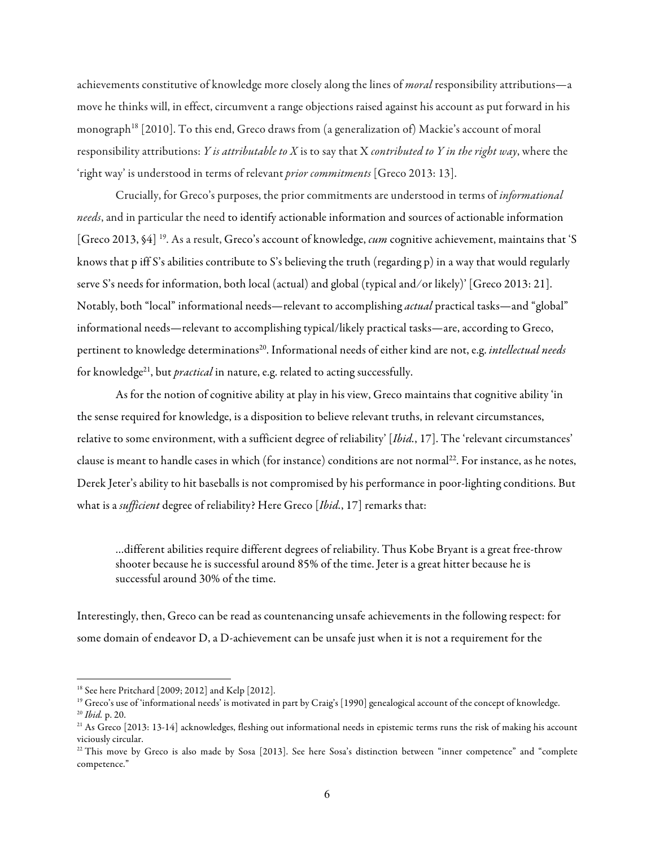achievements constitutive of knowledge more closely along the lines of *moral* responsibility attributions—a move he thinks will, in effect, circumvent a range objections raised against his account as put forward in his monograph<sup>18</sup> [2010]. To this end, Greco draws from (a generalization of) Mackie's account of moral responsibility attributions: *Y is attributable to X* is to say that X *contributed to Y in the right way*, where the 'right way' is understood in terms of relevant *prior commitments* [Greco 2013: 13].

Crucially, for Greco's purposes, the prior commitments are understood in terms of *informational needs*, and in particular the need to identify actionable information and sources of actionable information [Greco 2013, §4] 19. As a result, Greco's account of knowledge, *cum* cognitive achievement, maintains that 'S knows that p iff S's abilities contribute to S's believing the truth (regarding p) in a way that would regularly serve S's needs for information, both local (actual) and global (typical and ⁄ or likely)' [Greco 2013: 21]. Notably, both "local" informational needs—relevant to accomplishing *actual* practical tasks—and "global" informational needs—relevant to accomplishing typical/likely practical tasks—are, according to Greco, pertinent to knowledge determinations<sup>20</sup>. Informational needs of either kind are not, e.g. *intellectual needs* for knowledge<sup>21</sup>, but *practical* in nature, e.g. related to acting successfully.

As for the notion of cognitive ability at play in his view, Greco maintains that cognitive ability 'in the sense required for knowledge, is a disposition to believe relevant truths, in relevant circumstances, relative to some environment, with a sufficient degree of reliability' [*Ibid.*, 17]. The 'relevant circumstances' clause is meant to handle cases in which (for instance) conditions are not normal<sup>22</sup>. For instance, as he notes, Derek Jeter's ability to hit baseballs is not compromised by his performance in poor-lighting conditions. But what is a *sufficient* degree of reliability? Here Greco [*Ibid.*, 17] remarks that:

…different abilities require different degrees of reliability. Thus Kobe Bryant is a great free-throw shooter because he is successful around 85% of the time. Jeter is a great hitter because he is successful around 30% of the time.

Interestingly, then, Greco can be read as countenancing unsafe achievements in the following respect: for some domain of endeavor D, a D-achievement can be unsafe just when it is not a requirement for the

<sup>&</sup>lt;sup>18</sup> See here Pritchard [2009; 2012] and Kelp [2012].<br><sup>19</sup> Greco's use of 'informational needs' is motivated in part by Craig's [1990] genealogical account of the concept of knowledge. <sup>20</sup> *Ibid.* p. 20.

 $21$  As Greco [2013: 13-14] acknowledges, fleshing out informational needs in epistemic terms runs the risk of making his account viciously circular.

 $22$  This move by Greco is also made by Sosa [2013]. See here Sosa's distinction between "inner competence" and "complete competence."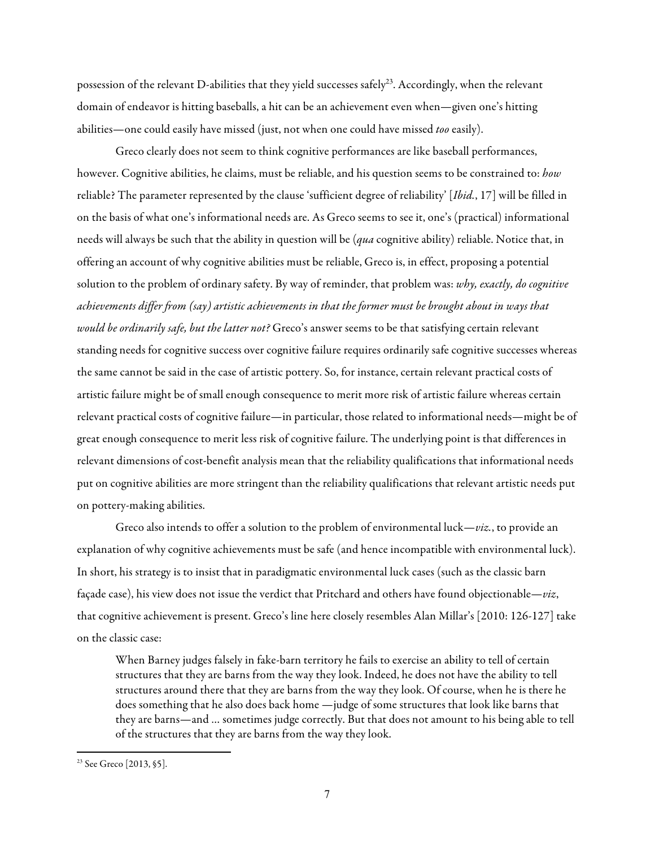possession of the relevant D-abilities that they yield successes safely<sup>23</sup>. Accordingly, when the relevant domain of endeavor is hitting baseballs, a hit can be an achievement even when—given one's hitting abilities—one could easily have missed (just, not when one could have missed *too* easily).

Greco clearly does not seem to think cognitive performances are like baseball performances, however. Cognitive abilities, he claims, must be reliable, and his question seems to be constrained to: *how* reliable? The parameter represented by the clause 'sufficient degree of reliability' [*Ibid.*, 17] will be filled in on the basis of what one's informational needs are. As Greco seems to see it, one's (practical) informational needs will always be such that the ability in question will be (*qua* cognitive ability) reliable. Notice that, in offering an account of why cognitive abilities must be reliable, Greco is, in effect, proposing a potential solution to the problem of ordinary safety. By way of reminder, that problem was: *why, exactly, do cognitive achievements differ from (say) artistic achievements in that the former must be brought about in ways that would be ordinarily safe, but the latter not?* Greco's answer seems to be that satisfying certain relevant standing needs for cognitive success over cognitive failure requires ordinarily safe cognitive successes whereas the same cannot be said in the case of artistic pottery. So, for instance, certain relevant practical costs of artistic failure might be of small enough consequence to merit more risk of artistic failure whereas certain relevant practical costs of cognitive failure—in particular, those related to informational needs—might be of great enough consequence to merit less risk of cognitive failure. The underlying point is that differences in relevant dimensions of cost-benefit analysis mean that the reliability qualifications that informational needs put on cognitive abilities are more stringent than the reliability qualifications that relevant artistic needs put on pottery-making abilities.

Greco also intends to offer a solution to the problem of environmental luck—*viz.*, to provide an explanation of why cognitive achievements must be safe (and hence incompatible with environmental luck). In short, his strategy is to insist that in paradigmatic environmental luck cases (such as the classic barn façade case), his view does not issue the verdict that Pritchard and others have found objectionable—*viz*, that cognitive achievement is present. Greco's line here closely resembles Alan Millar's [2010: 126-127] take on the classic case:

When Barney judges falsely in fake-barn territory he fails to exercise an ability to tell of certain structures that they are barns from the way they look. Indeed, he does not have the ability to tell structures around there that they are barns from the way they look. Of course, when he is there he does something that he also does back home —judge of some structures that look like barns that they are barns—and … sometimes judge correctly. But that does not amount to his being able to tell of the structures that they are barns from the way they look.

 

<sup>&</sup>lt;sup>23</sup> See Greco [2013, §5].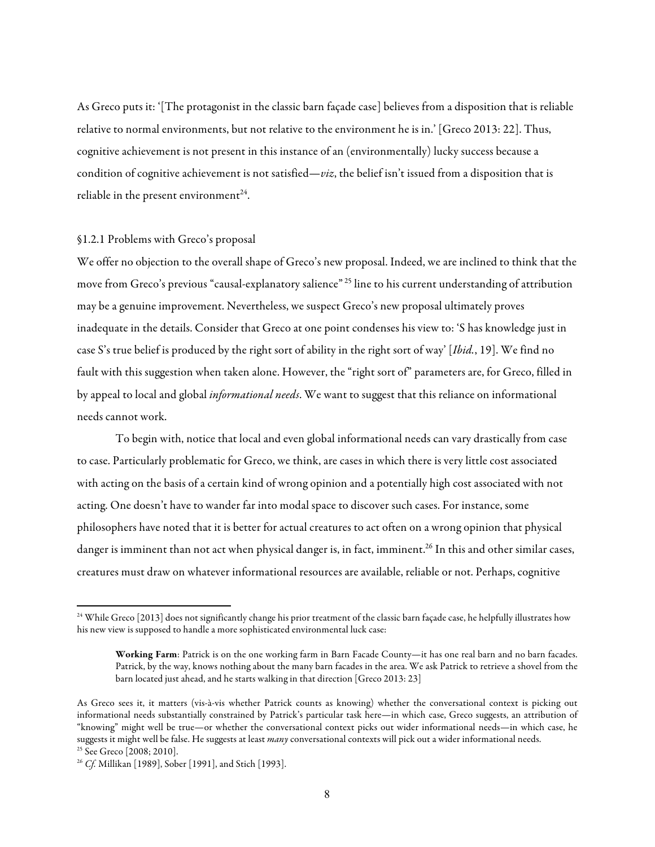As Greco puts it: '[The protagonist in the classic barn façade case] believes from a disposition that is reliable relative to normal environments, but not relative to the environment he is in.' [Greco 2013: 22]. Thus, cognitive achievement is not present in this instance of an (environmentally) lucky success because a condition of cognitive achievement is not satisfied—*viz*, the belief isn't issued from a disposition that is reliable in the present environment<sup>24</sup>.

#### §1.2.1 Problems with Greco's proposal

We offer no objection to the overall shape of Greco's new proposal. Indeed, we are inclined to think that the move from Greco's previous "causal-explanatory salience" <sup>25</sup> line to his current understanding of attribution may be a genuine improvement. Nevertheless, we suspect Greco's new proposal ultimately proves inadequate in the details. Consider that Greco at one point condenses his view to: 'S has knowledge just in case S's true belief is produced by the right sort of ability in the right sort of way' [*Ibid.*, 19]. We find no fault with this suggestion when taken alone. However, the "right sort of" parameters are, for Greco, filled in by appeal to local and global *informational needs*. We want to suggest that this reliance on informational needs cannot work.

To begin with, notice that local and even global informational needs can vary drastically from case to case. Particularly problematic for Greco, we think, are cases in which there is very little cost associated with acting on the basis of a certain kind of wrong opinion and a potentially high cost associated with not acting. One doesn't have to wander far into modal space to discover such cases. For instance, some philosophers have noted that it is better for actual creatures to act often on a wrong opinion that physical danger is imminent than not act when physical danger is, in fact, imminent.<sup>26</sup> In this and other similar cases, creatures must draw on whatever informational resources are available, reliable or not. Perhaps, cognitive

<sup>&</sup>lt;sup>24</sup> While Greco [2013] does not significantly change his prior treatment of the classic barn façade case, he helpfully illustrates how his new view is supposed to handle a more sophisticated environmental luck case:

Working Farm: Patrick is on the one working farm in Barn Facade County—it has one real barn and no barn facades. Patrick, by the way, knows nothing about the many barn facades in the area. We ask Patrick to retrieve a shovel from the barn located just ahead, and he starts walking in that direction [Greco 2013: 23]

As Greco sees it, it matters (vis-à-vis whether Patrick counts as knowing) whether the conversational context is picking out informational needs substantially constrained by Patrick's particular task here—in which case, Greco suggests, an attribution of "knowing" might well be true—or whether the conversational context picks out wider informational needs—in which case, he suggests it might well be false. He suggests at least *many* conversational contexts will pick out a wider informational needs.

<sup>25</sup> See Greco [2008; 2010]. 26 *Cf.* Millikan [1989], Sober [1991], and Stich [1993].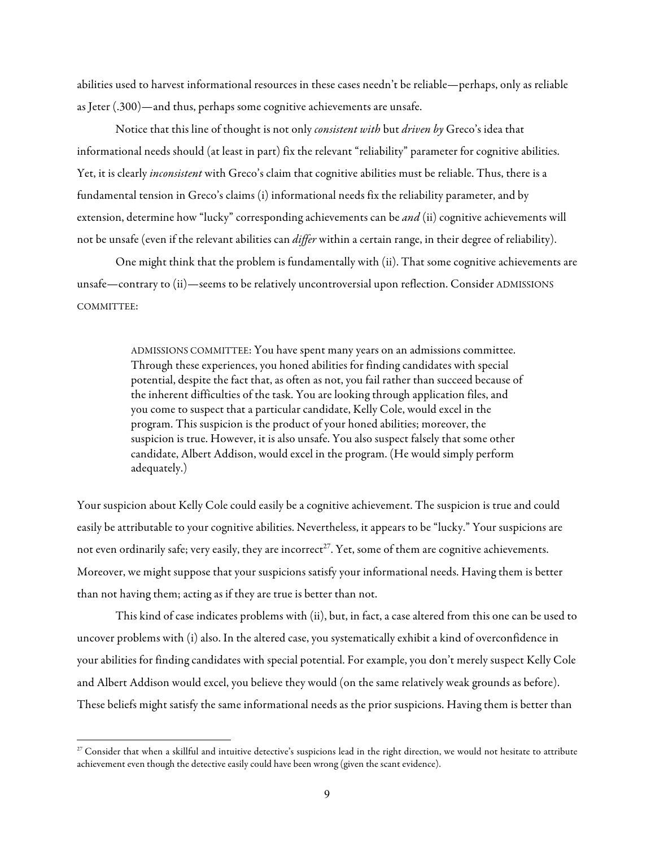abilities used to harvest informational resources in these cases needn't be reliable—perhaps, only as reliable as Jeter (.300)—and thus, perhaps some cognitive achievements are unsafe.

Notice that this line of thought is not only *consistent with* but *driven by* Greco's idea that informational needs should (at least in part) fix the relevant "reliability" parameter for cognitive abilities. Yet, it is clearly *inconsistent* with Greco's claim that cognitive abilities must be reliable. Thus, there is a fundamental tension in Greco's claims (i) informational needs fix the reliability parameter, and by extension, determine how "lucky" corresponding achievements can be *and* (ii) cognitive achievements will not be unsafe (even if the relevant abilities can *differ* within a certain range, in their degree of reliability).

One might think that the problem is fundamentally with (ii). That some cognitive achievements are unsafe—contrary to (ii)—seems to be relatively uncontroversial upon reflection. Consider ADMISSIONS COMMITTEE:

> ADMISSIONS COMMITTEE: You have spent many years on an admissions committee. Through these experiences, you honed abilities for finding candidates with special potential, despite the fact that, as often as not, you fail rather than succeed because of the inherent difficulties of the task. You are looking through application files, and you come to suspect that a particular candidate, Kelly Cole, would excel in the program. This suspicion is the product of your honed abilities; moreover, the suspicion is true. However, it is also unsafe. You also suspect falsely that some other candidate, Albert Addison, would excel in the program. (He would simply perform adequately.)

Your suspicion about Kelly Cole could easily be a cognitive achievement. The suspicion is true and could easily be attributable to your cognitive abilities. Nevertheless, it appears to be "lucky." Your suspicions are not even ordinarily safe; very easily, they are incorrect<sup>27</sup>. Yet, some of them are cognitive achievements. Moreover, we might suppose that your suspicions satisfy your informational needs. Having them is better than not having them; acting as if they are true is better than not.

This kind of case indicates problems with (ii), but, in fact, a case altered from this one can be used to uncover problems with (i) also. In the altered case, you systematically exhibit a kind of overconfidence in your abilities for finding candidates with special potential. For example, you don't merely suspect Kelly Cole and Albert Addison would excel, you believe they would (on the same relatively weak grounds as before). These beliefs might satisfy the same informational needs as the prior suspicions. Having them is better than

<sup>&</sup>lt;sup>27</sup> Consider that when a skillful and intuitive detective's suspicions lead in the right direction, we would not hesitate to attribute achievement even though the detective easily could have been wrong (given the scant evidence).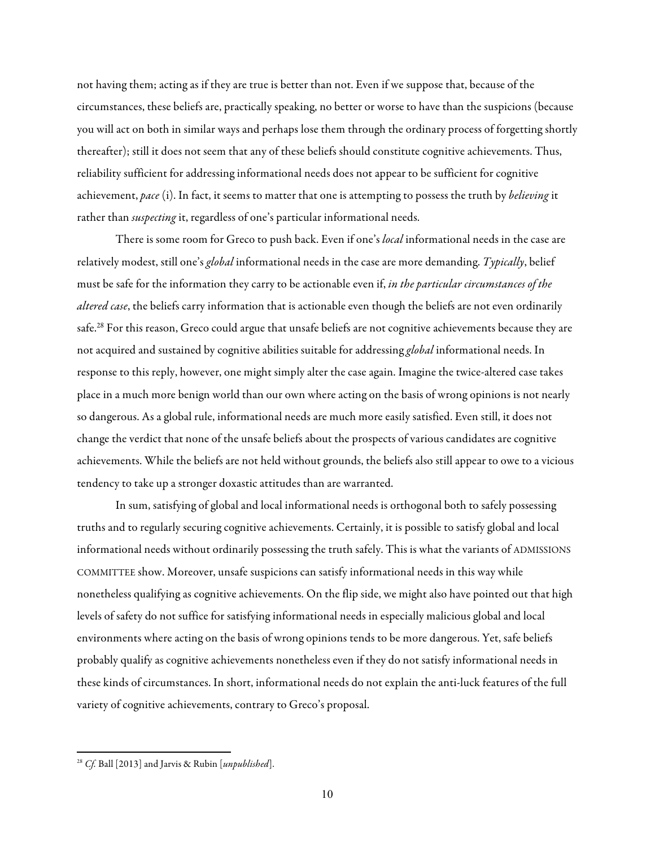not having them; acting as if they are true is better than not. Even if we suppose that, because of the circumstances, these beliefs are, practically speaking, no better or worse to have than the suspicions (because you will act on both in similar ways and perhaps lose them through the ordinary process of forgetting shortly thereafter); still it does not seem that any of these beliefs should constitute cognitive achievements. Thus, reliability sufficient for addressing informational needs does not appear to be sufficient for cognitive achievement, *pace* (i). In fact, it seems to matter that one is attempting to possess the truth by *believing* it rather than *suspecting* it, regardless of one's particular informational needs.

There is some room for Greco to push back. Even if one's *local* informational needs in the case are relatively modest, still one's *global* informational needs in the case are more demanding. *Typically*, belief must be safe for the information they carry to be actionable even if, *in the particular circumstances of the altered case*, the beliefs carry information that is actionable even though the beliefs are not even ordinarily safe.<sup>28</sup> For this reason, Greco could argue that unsafe beliefs are not cognitive achievements because they are not acquired and sustained by cognitive abilities suitable for addressing *global* informational needs. In response to this reply, however, one might simply alter the case again. Imagine the twice-altered case takes place in a much more benign world than our own where acting on the basis of wrong opinions is not nearly so dangerous. As a global rule, informational needs are much more easily satisfied. Even still, it does not change the verdict that none of the unsafe beliefs about the prospects of various candidates are cognitive achievements. While the beliefs are not held without grounds, the beliefs also still appear to owe to a vicious tendency to take up a stronger doxastic attitudes than are warranted.

In sum, satisfying of global and local informational needs is orthogonal both to safely possessing truths and to regularly securing cognitive achievements. Certainly, it is possible to satisfy global and local informational needs without ordinarily possessing the truth safely. This is what the variants of ADMISSIONS COMMITTEE show. Moreover, unsafe suspicions can satisfy informational needs in this way while nonetheless qualifying as cognitive achievements. On the flip side, we might also have pointed out that high levels of safety do not suffice for satisfying informational needs in especially malicious global and local environments where acting on the basis of wrong opinions tends to be more dangerous. Yet, safe beliefs probably qualify as cognitive achievements nonetheless even if they do not satisfy informational needs in these kinds of circumstances. In short, informational needs do not explain the anti-luck features of the full variety of cognitive achievements, contrary to Greco's proposal.

 

<sup>28</sup> *Cf.* Ball [2013] and Jarvis & Rubin [*unpublished*].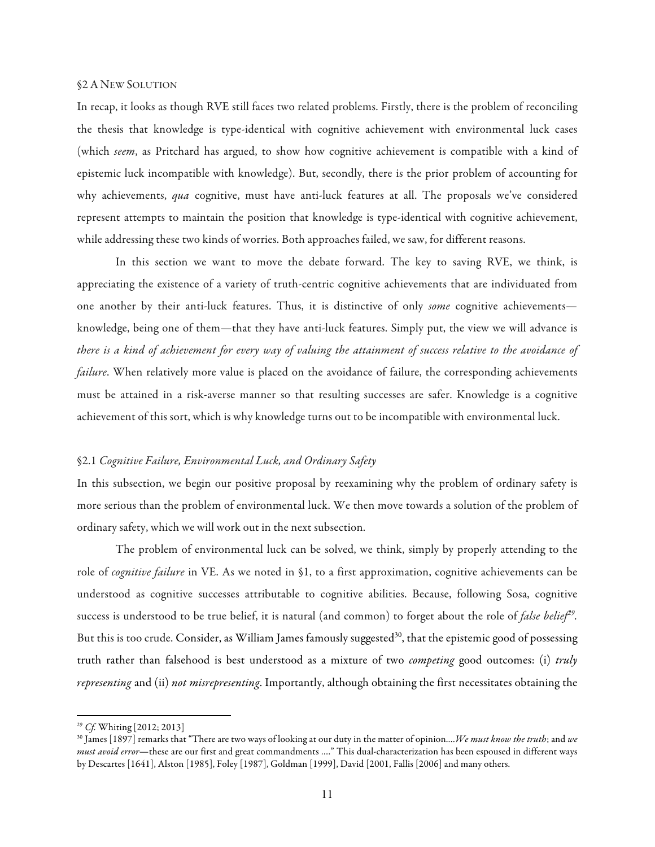#### §2A NEW SOLUTION

In recap, it looks as though RVE still faces two related problems. Firstly, there is the problem of reconciling the thesis that knowledge is type-identical with cognitive achievement with environmental luck cases (which *seem*, as Pritchard has argued, to show how cognitive achievement is compatible with a kind of epistemic luck incompatible with knowledge). But, secondly, there is the prior problem of accounting for why achievements, *qua* cognitive, must have anti-luck features at all. The proposals we've considered represent attempts to maintain the position that knowledge is type-identical with cognitive achievement, while addressing these two kinds of worries. Both approaches failed, we saw, for different reasons.

In this section we want to move the debate forward. The key to saving RVE, we think, is appreciating the existence of a variety of truth-centric cognitive achievements that are individuated from one another by their anti-luck features. Thus, it is distinctive of only *some* cognitive achievements knowledge, being one of them—that they have anti-luck features. Simply put, the view we will advance is *there is a kind of achievement for every way of valuing the attainment of success relative to the avoidance of failure*. When relatively more value is placed on the avoidance of failure, the corresponding achievements must be attained in a risk-averse manner so that resulting successes are safer. Knowledge is a cognitive achievement of this sort, which is why knowledge turns out to be incompatible with environmental luck.

## §2.1 *Cognitive Failure, Environmental Luck, and Ordinary Safety*

In this subsection, we begin our positive proposal by reexamining why the problem of ordinary safety is more serious than the problem of environmental luck. We then move towards a solution of the problem of ordinary safety, which we will work out in the next subsection.

The problem of environmental luck can be solved, we think, simply by properly attending to the role of *cognitive failure* in VE. As we noted in §1, to a first approximation, cognitive achievements can be understood as cognitive successes attributable to cognitive abilities. Because, following Sosa, cognitive success is understood to be true belief, it is natural (and common) to forget about the role of *false belief29.*  But this is too crude. Consider, as William James famously suggested<sup>30</sup>, that the epistemic good of possessing truth rather than falsehood is best understood as a mixture of two *competing* good outcomes: (i) *truly representing* and (ii) *not misrepresenting*. Importantly, although obtaining the first necessitates obtaining the

<sup>29</sup> *Cf.* Whiting [2012; 2013]

<sup>30</sup> James [1897] remarks that "There are two ways of looking at our duty in the matter of opinion.…*We must know the truth*; and *we must avoid error*—these are our first and great commandments …." This dual-characterization has been espoused in different ways by Descartes [1641], Alston [1985], Foley [1987], Goldman [1999], David [2001, Fallis [2006] and many others.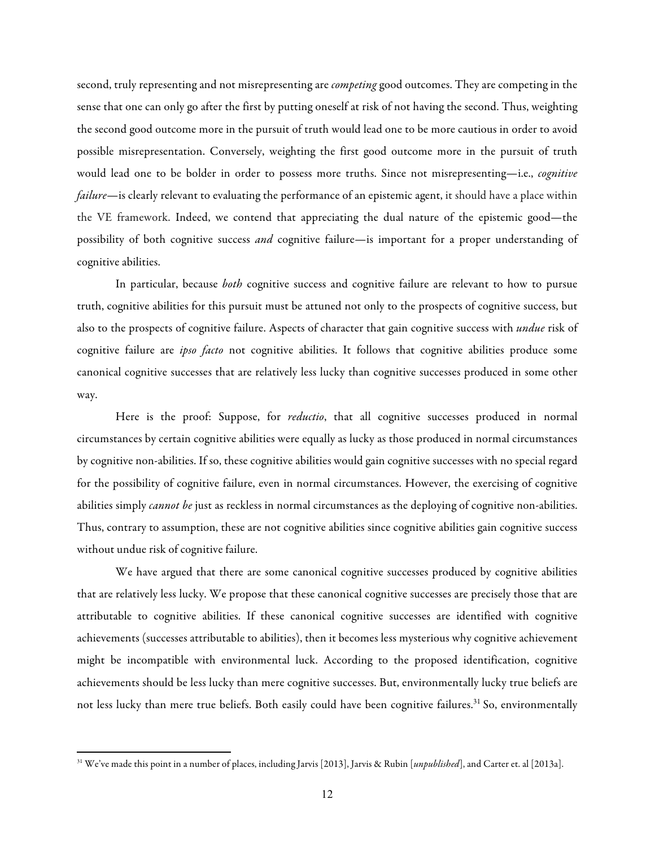second, truly representing and not misrepresenting are *competing* good outcomes. They are competing in the sense that one can only go after the first by putting oneself at risk of not having the second. Thus, weighting the second good outcome more in the pursuit of truth would lead one to be more cautious in order to avoid possible misrepresentation. Conversely, weighting the first good outcome more in the pursuit of truth would lead one to be bolder in order to possess more truths. Since not misrepresenting-i.e., *cognitive failure*—is clearly relevant to evaluating the performance of an epistemic agent, it should have a place within the VE framework. Indeed, we contend that appreciating the dual nature of the epistemic good—the possibility of both cognitive success *and* cognitive failure—is important for a proper understanding of cognitive abilities.

In particular, because *both* cognitive success and cognitive failure are relevant to how to pursue truth, cognitive abilities for this pursuit must be attuned not only to the prospects of cognitive success, but also to the prospects of cognitive failure. Aspects of character that gain cognitive success with *undue* risk of cognitive failure are *ipso facto* not cognitive abilities. It follows that cognitive abilities produce some canonical cognitive successes that are relatively less lucky than cognitive successes produced in some other way.

Here is the proof: Suppose, for *reductio*, that all cognitive successes produced in normal circumstances by certain cognitive abilities were equally as lucky as those produced in normal circumstances by cognitive non-abilities. If so, these cognitive abilities would gain cognitive successes with no special regard for the possibility of cognitive failure, even in normal circumstances. However, the exercising of cognitive abilities simply *cannot be* just as reckless in normal circumstances as the deploying of cognitive non-abilities. Thus, contrary to assumption, these are not cognitive abilities since cognitive abilities gain cognitive success without undue risk of cognitive failure.

We have argued that there are some canonical cognitive successes produced by cognitive abilities that are relatively less lucky. We propose that these canonical cognitive successes are precisely those that are attributable to cognitive abilities. If these canonical cognitive successes are identified with cognitive achievements (successes attributable to abilities), then it becomes less mysterious why cognitive achievement might be incompatible with environmental luck. According to the proposed identification, cognitive achievements should be less lucky than mere cognitive successes. But, environmentally lucky true beliefs are not less lucky than mere true beliefs. Both easily could have been cognitive failures.<sup>31</sup> So, environmentally

 

<sup>31</sup> We've made this point in a number of places, including Jarvis [2013], Jarvis & Rubin [*unpublished*], and Carter et. al [2013a].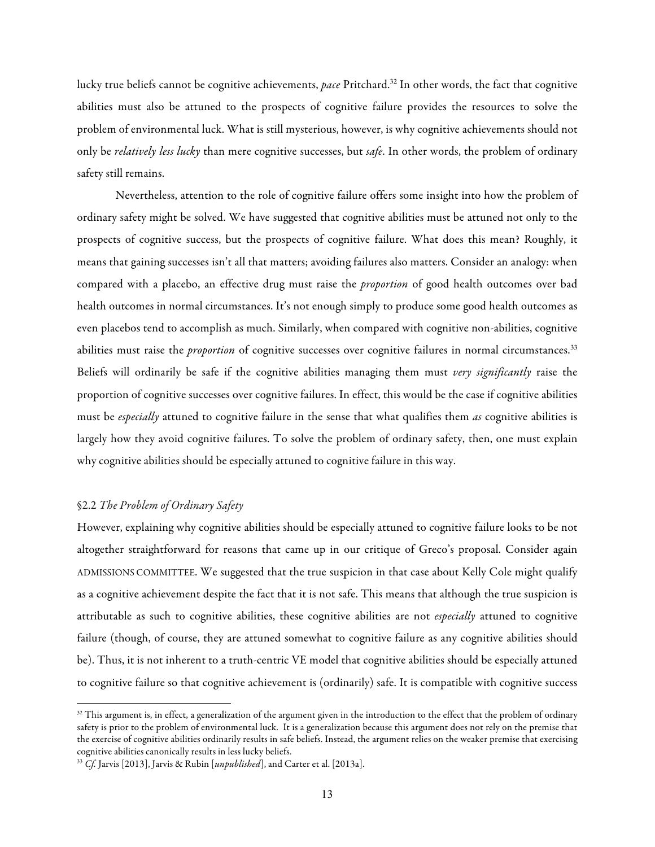lucky true beliefs cannot be cognitive achievements, *pace* Pritchard.32 In other words, the fact that cognitive abilities must also be attuned to the prospects of cognitive failure provides the resources to solve the problem of environmental luck. What is still mysterious, however, is why cognitive achievements should not only be *relatively less lucky* than mere cognitive successes, but *safe*. In other words, the problem of ordinary safety still remains.

Nevertheless, attention to the role of cognitive failure offers some insight into how the problem of ordinary safety might be solved. We have suggested that cognitive abilities must be attuned not only to the prospects of cognitive success, but the prospects of cognitive failure. What does this mean? Roughly, it means that gaining successes isn't all that matters; avoiding failures also matters. Consider an analogy: when compared with a placebo, an effective drug must raise the *proportion* of good health outcomes over bad health outcomes in normal circumstances. It's not enough simply to produce some good health outcomes as even placebos tend to accomplish as much. Similarly, when compared with cognitive non-abilities, cognitive abilities must raise the *proportion* of cognitive successes over cognitive failures in normal circumstances.<sup>33</sup> Beliefs will ordinarily be safe if the cognitive abilities managing them must *very significantly* raise the proportion of cognitive successes over cognitive failures. In effect, this would be the case if cognitive abilities must be *especially* attuned to cognitive failure in the sense that what qualifies them *as* cognitive abilities is largely how they avoid cognitive failures. To solve the problem of ordinary safety, then, one must explain why cognitive abilities should be especially attuned to cognitive failure in this way.

## §2.2 *The Problem of Ordinary Safety*

<u> 1989 - Jan Stein Stein, fransk politiker (d. 1989)</u>

However, explaining why cognitive abilities should be especially attuned to cognitive failure looks to be not altogether straightforward for reasons that came up in our critique of Greco's proposal. Consider again ADMISSIONS COMMITTEE. We suggested that the true suspicion in that case about Kelly Cole might qualify as a cognitive achievement despite the fact that it is not safe. This means that although the true suspicion is attributable as such to cognitive abilities, these cognitive abilities are not *especially* attuned to cognitive failure (though, of course, they are attuned somewhat to cognitive failure as any cognitive abilities should be). Thus, it is not inherent to a truth-centric VE model that cognitive abilities should be especially attuned to cognitive failure so that cognitive achievement is (ordinarily) safe. It is compatible with cognitive success

 $32$  This argument is, in effect, a generalization of the argument given in the introduction to the effect that the problem of ordinary safety is prior to the problem of environmental luck. It is a generalization because this argument does not rely on the premise that the exercise of cognitive abilities ordinarily results in safe beliefs. Instead, the argument relies on the weaker premise that exercising cognitive abilities canonically results in less lucky beliefs.

<sup>33</sup> *Cf.* Jarvis [2013], Jarvis & Rubin [*unpublished*], and Carter et al. [2013a].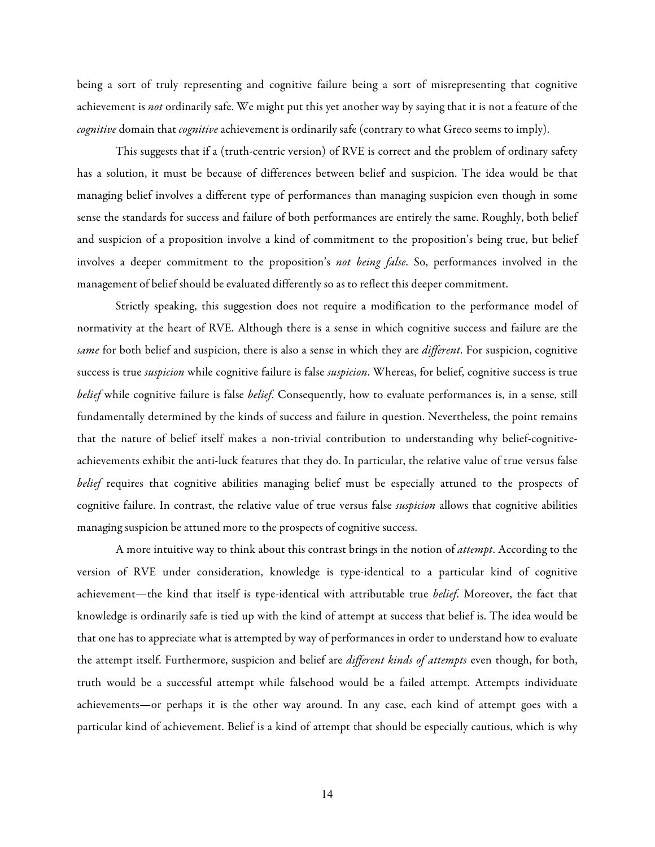being a sort of truly representing and cognitive failure being a sort of misrepresenting that cognitive achievement is *not* ordinarily safe. We might put this yet another way by saying that it is not a feature of the *cognitive* domain that *cognitive* achievement is ordinarily safe (contrary to what Greco seems to imply).

This suggests that if a (truth-centric version) of RVE is correct and the problem of ordinary safety has a solution, it must be because of differences between belief and suspicion. The idea would be that managing belief involves a different type of performances than managing suspicion even though in some sense the standards for success and failure of both performances are entirely the same. Roughly, both belief and suspicion of a proposition involve a kind of commitment to the proposition's being true, but belief involves a deeper commitment to the proposition's *not being false*. So, performances involved in the management of belief should be evaluated differently so as to reflect this deeper commitment.

Strictly speaking, this suggestion does not require a modification to the performance model of normativity at the heart of RVE. Although there is a sense in which cognitive success and failure are the *same* for both belief and suspicion, there is also a sense in which they are *different*. For suspicion, cognitive success is true *suspicion* while cognitive failure is false *suspicion*. Whereas, for belief, cognitive success is true *belief* while cognitive failure is false *belief*. Consequently, how to evaluate performances is, in a sense, still fundamentally determined by the kinds of success and failure in question. Nevertheless, the point remains that the nature of belief itself makes a non-trivial contribution to understanding why belief-cognitiveachievements exhibit the anti-luck features that they do. In particular, the relative value of true versus false *belief* requires that cognitive abilities managing belief must be especially attuned to the prospects of cognitive failure. In contrast, the relative value of true versus false *suspicion* allows that cognitive abilities managing suspicion be attuned more to the prospects of cognitive success.

A more intuitive way to think about this contrast brings in the notion of *attempt*. According to the version of RVE under consideration, knowledge is type-identical to a particular kind of cognitive achievement—the kind that itself is type-identical with attributable true *belief*. Moreover, the fact that knowledge is ordinarily safe is tied up with the kind of attempt at success that belief is. The idea would be that one has to appreciate what is attempted by way of performances in order to understand how to evaluate the attempt itself. Furthermore, suspicion and belief are *different kinds of attempts* even though, for both, truth would be a successful attempt while falsehood would be a failed attempt. Attempts individuate achievements—or perhaps it is the other way around. In any case, each kind of attempt goes with a particular kind of achievement. Belief is a kind of attempt that should be especially cautious, which is why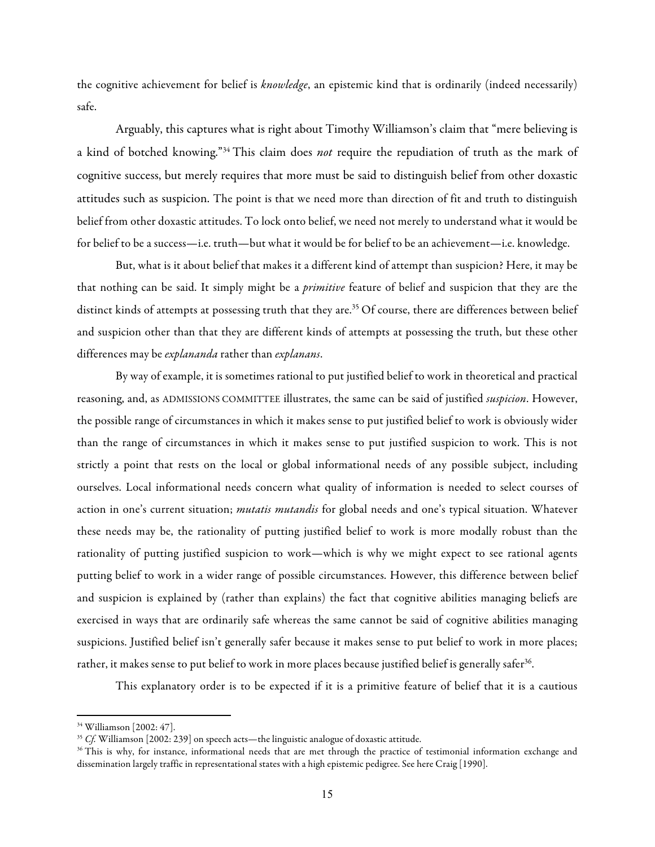the cognitive achievement for belief is *knowledge*, an epistemic kind that is ordinarily (indeed necessarily) safe.

Arguably, this captures what is right about Timothy Williamson's claim that "mere believing is a kind of botched knowing."34 This claim does *not* require the repudiation of truth as the mark of cognitive success, but merely requires that more must be said to distinguish belief from other doxastic attitudes such as suspicion. The point is that we need more than direction of fit and truth to distinguish belief from other doxastic attitudes. To lock onto belief, we need not merely to understand what it would be for belief to be a success—i.e. truth—but what it would be for belief to be an achievement—i.e. knowledge.

But, what is it about belief that makes it a different kind of attempt than suspicion? Here, it may be that nothing can be said. It simply might be a *primitive* feature of belief and suspicion that they are the distinct kinds of attempts at possessing truth that they are.<sup>35</sup> Of course, there are differences between belief and suspicion other than that they are different kinds of attempts at possessing the truth, but these other differences may be *explananda* rather than *explanans*.

By way of example, it is sometimes rational to put justified belief to work in theoretical and practical reasoning, and, as ADMISSIONS COMMITTEE illustrates, the same can be said of justified *suspicion*. However, the possible range of circumstances in which it makes sense to put justified belief to work is obviously wider than the range of circumstances in which it makes sense to put justified suspicion to work. This is not strictly a point that rests on the local or global informational needs of any possible subject, including ourselves. Local informational needs concern what quality of information is needed to select courses of action in one's current situation; *mutatis mutandis* for global needs and one's typical situation. Whatever these needs may be, the rationality of putting justified belief to work is more modally robust than the rationality of putting justified suspicion to work—which is why we might expect to see rational agents putting belief to work in a wider range of possible circumstances. However, this difference between belief and suspicion is explained by (rather than explains) the fact that cognitive abilities managing beliefs are exercised in ways that are ordinarily safe whereas the same cannot be said of cognitive abilities managing suspicions. Justified belief isn't generally safer because it makes sense to put belief to work in more places; rather, it makes sense to put belief to work in more places because justified belief is generally safer<sup>36</sup>.

This explanatory order is to be expected if it is a primitive feature of belief that it is a cautious

<sup>34</sup> Williamson [2002: 47].

<sup>35</sup> *Cf.* Williamson [2002: 239] on speech acts—the linguistic analogue of doxastic attitude.

<sup>&</sup>lt;sup>36</sup> This is why, for instance, informational needs that are met through the practice of testimonial information exchange and dissemination largely traffic in representational states with a high epistemic pedigree. See here Craig [1990].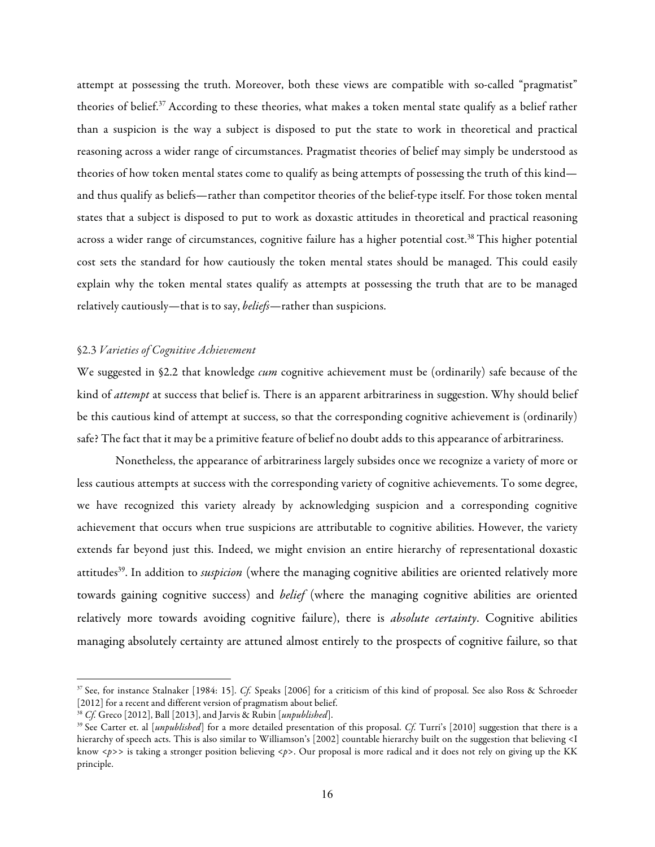attempt at possessing the truth. Moreover, both these views are compatible with so-called "pragmatist" theories of belief.37 According to these theories, what makes a token mental state qualify as a belief rather than a suspicion is the way a subject is disposed to put the state to work in theoretical and practical reasoning across a wider range of circumstances. Pragmatist theories of belief may simply be understood as theories of how token mental states come to qualify as being attempts of possessing the truth of this kind and thus qualify as beliefs—rather than competitor theories of the belief-type itself. For those token mental states that a subject is disposed to put to work as doxastic attitudes in theoretical and practical reasoning across a wider range of circumstances, cognitive failure has a higher potential cost.<sup>38</sup> This higher potential cost sets the standard for how cautiously the token mental states should be managed. This could easily explain why the token mental states qualify as attempts at possessing the truth that are to be managed relatively cautiously—that is to say, *beliefs*—rather than suspicions.

## §2.3 *Varieties of Cognitive Achievement*

We suggested in §2.2 that knowledge *cum* cognitive achievement must be (ordinarily) safe because of the kind of *attempt* at success that belief is. There is an apparent arbitrariness in suggestion. Why should belief be this cautious kind of attempt at success, so that the corresponding cognitive achievement is (ordinarily) safe? The fact that it may be a primitive feature of belief no doubt adds to this appearance of arbitrariness.

Nonetheless, the appearance of arbitrariness largely subsides once we recognize a variety of more or less cautious attempts at success with the corresponding variety of cognitive achievements. To some degree, we have recognized this variety already by acknowledging suspicion and a corresponding cognitive achievement that occurs when true suspicions are attributable to cognitive abilities. However, the variety extends far beyond just this. Indeed, we might envision an entire hierarchy of representational doxastic attitudes<sup>39</sup>. In addition to *suspicion* (where the managing cognitive abilities are oriented relatively more towards gaining cognitive success) and *belief* (where the managing cognitive abilities are oriented relatively more towards avoiding cognitive failure), there is *absolute certainty*. Cognitive abilities managing absolutely certainty are attuned almost entirely to the prospects of cognitive failure, so that

<sup>37</sup> See, for instance Stalnaker [1984: 15]. *Cf.* Speaks [2006] for a criticism of this kind of proposal. See also Ross & Schroeder [2012] for a recent and different version of pragmatism about belief.

<sup>38</sup> *Cf.* Greco [2012], Ball [2013], and Jarvis & Rubin [*unpublished*].

<sup>39</sup> See Carter et. al [*unpublished*] for a more detailed presentation of this proposal. *Cf.* Turri's [2010] suggestion that there is a hierarchy of speech acts. This is also similar to Williamson's [2002] countable hierarchy built on the suggestion that believing <I know <*p*>> is taking a stronger position believing <*p*>. Our proposal is more radical and it does not rely on giving up the KK principle.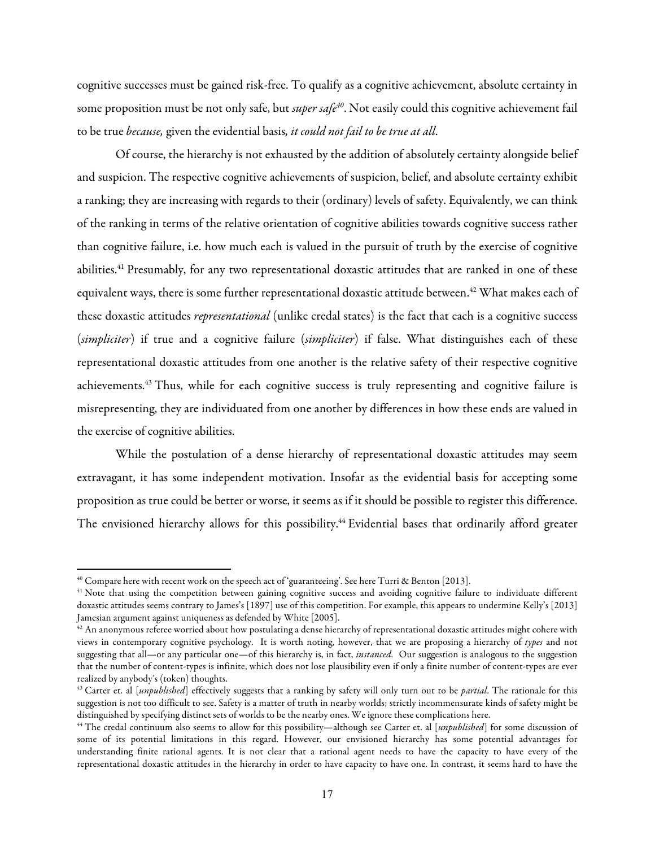cognitive successes must be gained risk-free. To qualify as a cognitive achievement, absolute certainty in some proposition must be not only safe, but *super safe40*. Not easily could this cognitive achievement fail to be true *because,* given the evidential basis*, it could not fail to be true at all*.

Of course, the hierarchy is not exhausted by the addition of absolutely certainty alongside belief and suspicion. The respective cognitive achievements of suspicion, belief, and absolute certainty exhibit a ranking; they are increasing with regards to their (ordinary) levels of safety. Equivalently, we can think of the ranking in terms of the relative orientation of cognitive abilities towards cognitive success rather than cognitive failure, i.e. how much each is valued in the pursuit of truth by the exercise of cognitive abilities.<sup>41</sup> Presumably, for any two representational doxastic attitudes that are ranked in one of these equivalent ways, there is some further representational doxastic attitude between.<sup>42</sup> What makes each of these doxastic attitudes *representational* (unlike credal states) is the fact that each is a cognitive success (*simpliciter*) if true and a cognitive failure (*simpliciter*) if false. What distinguishes each of these representational doxastic attitudes from one another is the relative safety of their respective cognitive achievements.<sup>43</sup> Thus, while for each cognitive success is truly representing and cognitive failure is misrepresenting, they are individuated from one another by differences in how these ends are valued in the exercise of cognitive abilities.

While the postulation of a dense hierarchy of representational doxastic attitudes may seem extravagant, it has some independent motivation. Insofar as the evidential basis for accepting some proposition as true could be better or worse, it seems as if it should be possible to register this difference. The envisioned hierarchy allows for this possibility.<sup>44</sup> Evidential bases that ordinarily afford greater

 $^{40}$  Compare here with recent work on the speech act of 'guaranteeing'. See here Turri & Benton [2013].

<sup>&</sup>lt;sup>41</sup> Note that using the competition between gaining cognitive success and avoiding cognitive failure to individuate different doxastic attitudes seems contrary to James's [1897] use of this competition. For example, this appears to undermine Kelly's [2013] Jamesian argument against uniqueness as defended by White [2005].

 $^{42}$  An anonymous referee worried about how postulating a dense hierarchy of representational doxastic attitudes might cohere with views in contemporary cognitive psychology. It is worth noting, however, that we are proposing a hierarchy of *types* and not suggesting that all—or any particular one—of this hierarchy is, in fact, *instanced*. Our suggestion is analogous to the suggestion that the number of content-types is infinite, which does not lose plausibility even if only a finite number of content-types are ever realized by anybody's (token) thoughts.

<sup>43</sup> Carter et. al [*unpublished*] effectively suggests that a ranking by safety will only turn out to be *partial*. The rationale for this suggestion is not too difficult to see. Safety is a matter of truth in nearby worlds; strictly incommensurate kinds of safety might be distinguished by specifying distinct sets of worlds to be the nearby ones. We ignore these complications here.

<sup>44</sup> The credal continuum also seems to allow for this possibility—although see Carter et. al [*unpublished*] for some discussion of some of its potential limitations in this regard. However, our envisioned hierarchy has some potential advantages for understanding finite rational agents. It is not clear that a rational agent needs to have the capacity to have every of the representational doxastic attitudes in the hierarchy in order to have capacity to have one. In contrast, it seems hard to have the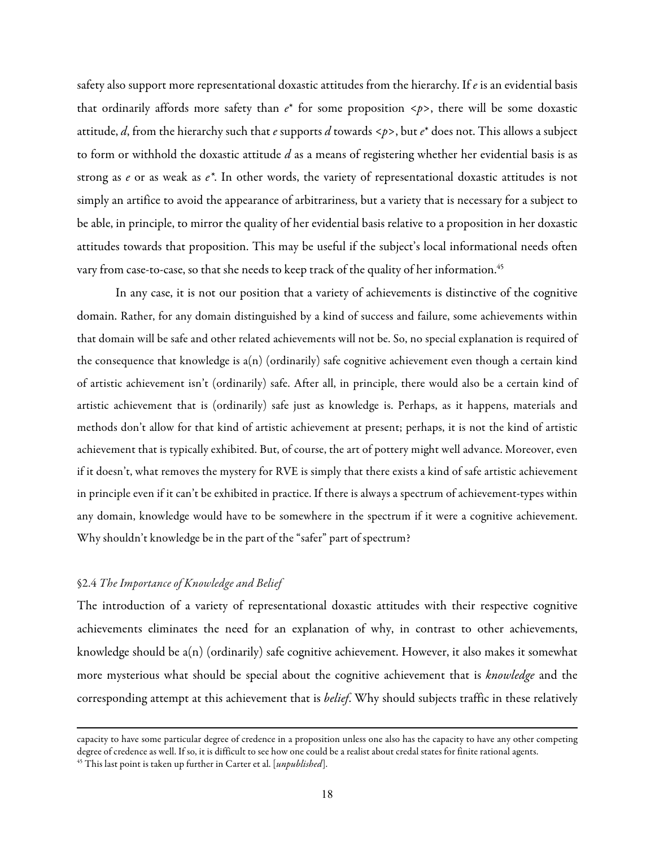safety also support more representational doxastic attitudes from the hierarchy. If *e* is an evidential basis that ordinarily affords more safety than *e*\* for some proposition <*p*>, there will be some doxastic attitude, *d*, from the hierarchy such that *e* supports *d* towards <*p*>, but *e*\* does not. This allows a subject to form or withhold the doxastic attitude *d* as a means of registering whether her evidential basis is as strong as *e* or as weak as *e\**. In other words, the variety of representational doxastic attitudes is not simply an artifice to avoid the appearance of arbitrariness, but a variety that is necessary for a subject to be able, in principle, to mirror the quality of her evidential basis relative to a proposition in her doxastic attitudes towards that proposition. This may be useful if the subject's local informational needs often vary from case-to-case, so that she needs to keep track of the quality of her information.<sup>45</sup>

In any case, it is not our position that a variety of achievements is distinctive of the cognitive domain. Rather, for any domain distinguished by a kind of success and failure, some achievements within that domain will be safe and other related achievements will not be. So, no special explanation is required of the consequence that knowledge is a(n) (ordinarily) safe cognitive achievement even though a certain kind of artistic achievement isn't (ordinarily) safe. After all, in principle, there would also be a certain kind of artistic achievement that is (ordinarily) safe just as knowledge is. Perhaps, as it happens, materials and methods don't allow for that kind of artistic achievement at present; perhaps, it is not the kind of artistic achievement that is typically exhibited. But, of course, the art of pottery might well advance. Moreover, even if it doesn't, what removes the mystery for RVE is simply that there exists a kind of safe artistic achievement in principle even if it can't be exhibited in practice. If there is always a spectrum of achievement-types within any domain, knowledge would have to be somewhere in the spectrum if it were a cognitive achievement. Why shouldn't knowledge be in the part of the "safer" part of spectrum?

# §2.4 *The Importance of Knowledge and Belief*

The introduction of a variety of representational doxastic attitudes with their respective cognitive achievements eliminates the need for an explanation of why, in contrast to other achievements, knowledge should be a(n) (ordinarily) safe cognitive achievement. However, it also makes it somewhat more mysterious what should be special about the cognitive achievement that is *knowledge* and the corresponding attempt at this achievement that is *belief*. Why should subjects traffic in these relatively

<u> 1989 - Andrea Santa Andrea Andrea Andrea Andrea Andrea Andrea Andrea Andrea Andrea Andrea Andrea Andrea Andr</u>

capacity to have some particular degree of credence in a proposition unless one also has the capacity to have any other competing degree of credence as well. If so, it is difficult to see how one could be a realist about credal states for finite rational agents. 45 This last point is taken up further in Carter et al. [*unpublished*].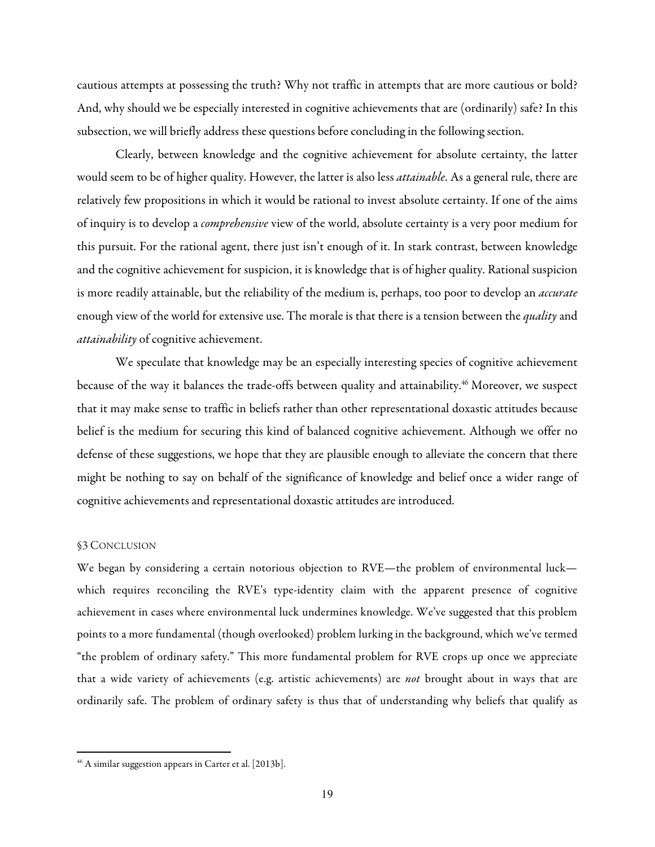cautious attempts at possessing the truth? Why not traffic in attempts that are more cautious or bold? And, why should we be especially interested in cognitive achievements that are (ordinarily) safe? In this subsection, we will briefly address these questions before concluding in the following section.

Clearly, between knowledge and the cognitive achievement for absolute certainty, the latter would seem to be of higher quality. However, the latter is also less *attainable*. As a general rule, there are relatively few propositions in which it would be rational to invest absolute certainty. If one of the aims of inquiry is to develop a *comprehensive* view of the world, absolute certainty is a very poor medium for this pursuit. For the rational agent, there just isn't enough of it. In stark contrast, between knowledge and the cognitive achievement for suspicion, it is knowledge that is of higher quality. Rational suspicion is more readily attainable, but the reliability of the medium is, perhaps, too poor to develop an *accurate* enough view of the world for extensive use. The morale is that there is a tension between the *quality* and *attainability* of cognitive achievement.

We speculate that knowledge may be an especially interesting species of cognitive achievement because of the way it balances the trade-offs between quality and attainability.<sup>46</sup> Moreover, we suspect that it may make sense to traffic in beliefs rather than other representational doxastic attitudes because belief is the medium for securing this kind of balanced cognitive achievement. Although we offer no defense of these suggestions, we hope that they are plausible enough to alleviate the concern that there might be nothing to say on behalf of the significance of knowledge and belief once a wider range of cognitive achievements and representational doxastic attitudes are introduced.

## §3 CONCLUSION

We began by considering a certain notorious objection to RVE—the problem of environmental luck which requires reconciling the RVE's type-identity claim with the apparent presence of cognitive achievement in cases where environmental luck undermines knowledge. We've suggested that this problem points to a more fundamental (though overlooked) problem lurking in the background, which we've termed "the problem of ordinary safety." This more fundamental problem for RVE crops up once we appreciate that a wide variety of achievements (e.g. artistic achievements) are *not* brought about in ways that are ordinarily safe. The problem of ordinary safety is thus that of understanding why beliefs that qualify as

 

<sup>46</sup> A similar suggestion appears in Carter et al. [2013b].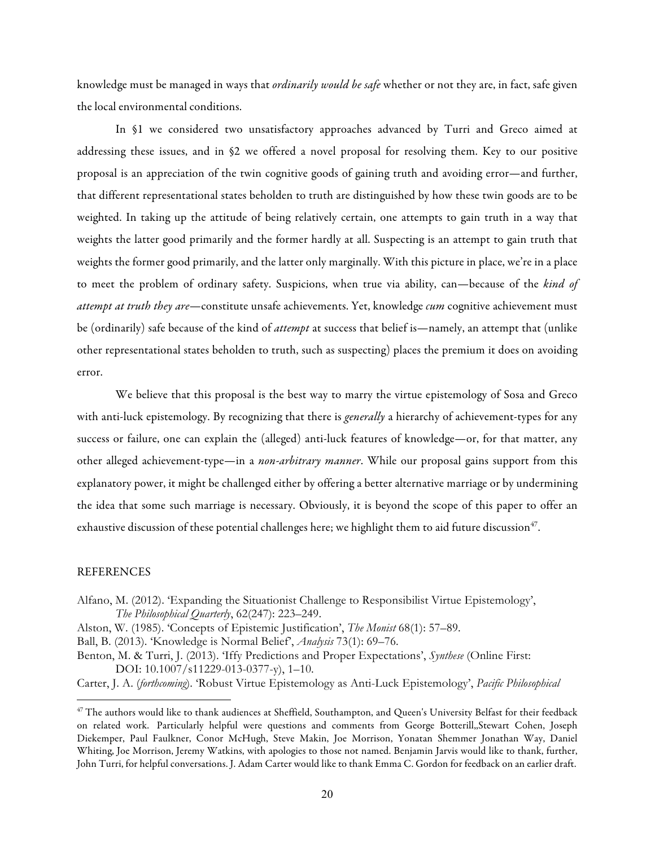knowledge must be managed in ways that *ordinarily would be safe* whether or not they are, in fact, safe given the local environmental conditions.

In §1 we considered two unsatisfactory approaches advanced by Turri and Greco aimed at addressing these issues, and in §2 we offered a novel proposal for resolving them. Key to our positive proposal is an appreciation of the twin cognitive goods of gaining truth and avoiding error—and further, that different representational states beholden to truth are distinguished by how these twin goods are to be weighted. In taking up the attitude of being relatively certain, one attempts to gain truth in a way that weights the latter good primarily and the former hardly at all. Suspecting is an attempt to gain truth that weights the former good primarily, and the latter only marginally. With this picture in place, we're in a place to meet the problem of ordinary safety. Suspicions, when true via ability, can—because of the *kind of attempt at truth they are*—constitute unsafe achievements. Yet, knowledge *cum* cognitive achievement must be (ordinarily) safe because of the kind of *attempt* at success that belief is—namely, an attempt that (unlike other representational states beholden to truth, such as suspecting) places the premium it does on avoiding error.

We believe that this proposal is the best way to marry the virtue epistemology of Sosa and Greco with anti-luck epistemology. By recognizing that there is *generally* a hierarchy of achievement-types for any success or failure, one can explain the (alleged) anti-luck features of knowledge—or, for that matter, any other alleged achievement-type—in a *non-arbitrary manner*. While our proposal gains support from this explanatory power, it might be challenged either by offering a better alternative marriage or by undermining the idea that some such marriage is necessary. Obviously, it is beyond the scope of this paper to offer an exhaustive discussion of these potential challenges here; we highlight them to aid future discussion<sup>47</sup>.

# **REFERENCES**

<u> 1989 - Johann Stein, fransk politik (d. 1989)</u>

- Alfano, M. (2012). 'Expanding the Situationist Challenge to Responsibilist Virtue Epistemology', *The Philosophical Quarterly*, 62(247): 223–249.
- Alston, W. (1985). 'Concepts of Epistemic Justification', *The Monist* 68(1): 57–89.
- Ball, B. (2013). 'Knowledge is Normal Belief', *Analysis* 73(1): 69–76.

Benton, M. & Turri, J. (2013). 'Iffy Predictions and Proper Expectations', *Synthese* (Online First: DOI: 10.1007/s11229-013-0377-y), 1–10.

Carter, J. A. (*forthcoming*). 'Robust Virtue Epistemology as Anti-Luck Epistemology', *Pacific Philosophical* 

 $47$  The authors would like to thank audiences at Sheffield, Southampton, and Queen's University Belfast for their feedback on related work. Particularly helpful were questions and comments from George Botterill,,Stewart Cohen, Joseph Diekemper, Paul Faulkner, Conor McHugh, Steve Makin, Joe Morrison, Yonatan Shemmer Jonathan Way, Daniel Whiting, Joe Morrison, Jeremy Watkins, with apologies to those not named. Benjamin Jarvis would like to thank, further, John Turri, for helpful conversations. J. Adam Carter would like to thank Emma C. Gordon for feedback on an earlier draft.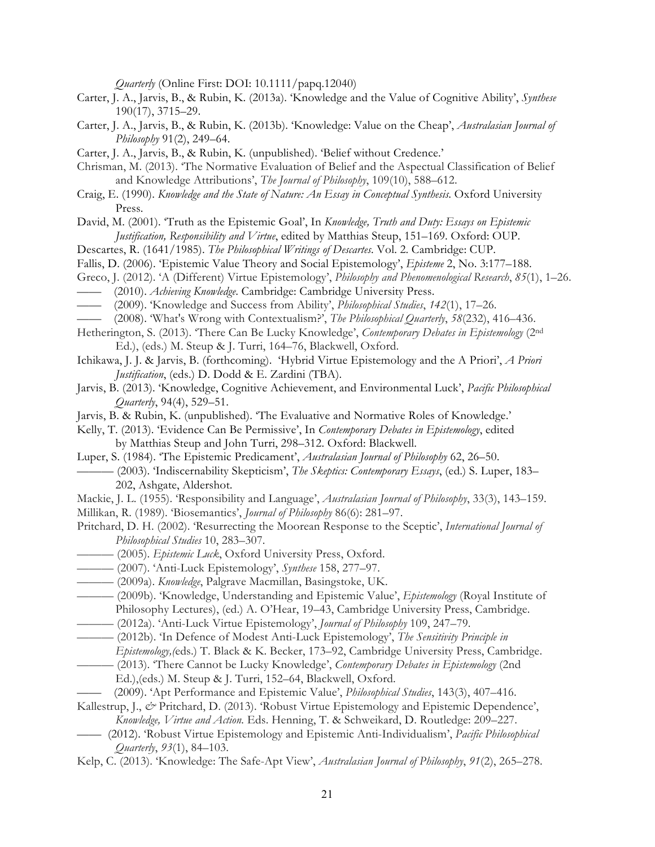*Quarterly* (Online First: DOI: 10.1111/papq.12040)

- Carter, J. A., Jarvis, B., & Rubin, K. (2013a). 'Knowledge and the Value of Cognitive Ability', *Synthese* 190(17), 3715–29.
- Carter, J. A., Jarvis, B., & Rubin, K. (2013b). 'Knowledge: Value on the Cheap', *Australasian Journal of Philosophy* 91(2), 249–64.
- Carter, J. A., Jarvis, B., & Rubin, K. (unpublished). 'Belief without Credence.'
- Chrisman, M. (2013). 'The Normative Evaluation of Belief and the Aspectual Classification of Belief and Knowledge Attributions', *The Journal of Philosophy*, 109(10), 588–612.
- Craig, E. (1990). *Knowledge and the State of Nature: An Essay in Conceptual Synthesis*. Oxford University Press.
- David, M. (2001). 'Truth as the Epistemic Goal', In *Knowledge, Truth and Duty: Essays on Epistemic Justification, Responsibility and Virtue*, edited by Matthias Steup, 151–169. Oxford: OUP.
- Descartes, R. (1641/1985). *The Philosophical Writings of Descartes*. Vol. 2. Cambridge: CUP.
- Fallis, D. (2006). 'Epistemic Value Theory and Social Epistemology', *Episteme* 2, No. 3:177–188.
- Greco, J. (2012). 'A (Different) Virtue Epistemology', *Philosophy and Phenomenological Research*, *85*(1), 1–26.
- —— (2010). *Achieving Knowledge*. Cambridge: Cambridge University Press.
- —— (2009). 'Knowledge and Success from Ability', *Philosophical Studies*, *142*(1), 17–26.
- —— (2008). 'What's Wrong with Contextualism?', *The Philosophical Quarterly*, *58*(232), 416–436.
- Hetherington, S. (2013). 'There Can Be Lucky Knowledge', *Contemporary Debates in Epistemology* (2nd Ed.), (eds.) M. Steup & J. Turri, 164–76, Blackwell, Oxford.
- Ichikawa, J. J. & Jarvis, B. (forthcoming). 'Hybrid Virtue Epistemology and the A Priori', *A Priori Justification*, (eds.) D. Dodd & E. Zardini (TBA).
- Jarvis, B. (2013). 'Knowledge, Cognitive Achievement, and Environmental Luck', *Pacific Philosophical Quarterly*, 94(4), 529–51.
- Jarvis, B. & Rubin, K. (unpublished). 'The Evaluative and Normative Roles of Knowledge.'
- Kelly, T. (2013). 'Evidence Can Be Permissive', In *Contemporary Debates in Epistemology*, edited by Matthias Steup and John Turri, 298–312. Oxford: Blackwell.
- Luper, S. (1984). 'The Epistemic Predicament', *Australasian Journal of Philosophy* 62, 26–50.
	- ——— (2003). 'Indiscernability Skepticism', *The Skeptics: Contemporary Essays*, (ed.) S. Luper, 183– 202, Ashgate, Aldershot.
- Mackie, J. L. (1955). 'Responsibility and Language', *Australasian Journal of Philosophy*, 33(3), 143–159.
- Millikan, R. (1989). 'Biosemantics', *Journal of Philosophy* 86(6): 281–97.
- Pritchard, D. H. (2002). 'Resurrecting the Moorean Response to the Sceptic', *International Journal of Philosophical Studies* 10, 283–307.
- ——— (2005). *Epistemic Luck*, Oxford University Press, Oxford.
- ——— (2007). 'Anti-Luck Epistemology', *Synthese* 158, 277–97.
- ——— (2009a). *Knowledge*, Palgrave Macmillan, Basingstoke, UK.
- ——— (2009b). 'Knowledge, Understanding and Epistemic Value', *Epistemology* (Royal Institute of Philosophy Lectures), (ed.) A. O'Hear, 19–43, Cambridge University Press, Cambridge.
- ——— (2012a). 'Anti-Luck Virtue Epistemology', *Journal of Philosophy* 109, 247–79.
- ——— (2012b). 'In Defence of Modest Anti-Luck Epistemology', *The Sensitivity Principle in Epistemology,(*eds.) T. Black & K. Becker, 173–92, Cambridge University Press, Cambridge.
- ——— (2013). 'There Cannot be Lucky Knowledge', *Contemporary Debates in Epistemology* (2nd Ed.),(eds.) M. Steup & J. Turri, 152–64, Blackwell, Oxford.
- —— (2009). 'Apt Performance and Epistemic Value', *Philosophical Studies*, 143(3), 407–416.
- Kallestrup, J., *&* Pritchard, D. (2013). 'Robust Virtue Epistemology and Epistemic Dependence', *Knowledge, Virtue and Action.* Eds. Henning, T. & Schweikard, D. Routledge: 209–227.
- —— (2012). 'Robust Virtue Epistemology and Epistemic Anti-Individualism', *Pacific Philosophical Quarterly*, *93*(1), 84–103.
- Kelp, C. (2013). 'Knowledge: The Safe-Apt View', *Australasian Journal of Philosophy*, *91*(2), 265–278.